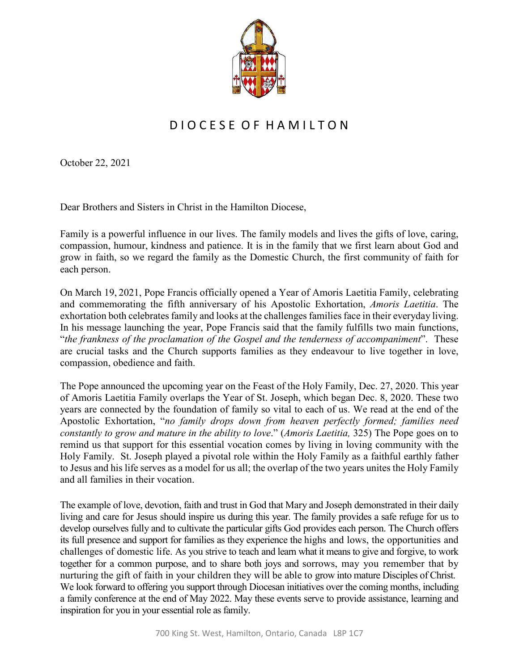

## D I O C E S E O F H A M I L T O N

October 22, 2021

Dear Brothers and Sisters in Christ in the Hamilton Diocese,

Family is a powerful influence in our lives. The family models and lives the gifts of love, caring, compassion, humour, kindness and patience. It is in the family that we first learn about God and grow in faith, so we regard the family as the Domestic Church, the first community of faith for each person.

On March 19, 2021, Pope Francis officially opened a Year of Amoris Laetitia Family, celebrating and commemorating the fifth anniversary of his Apostolic Exhortation, *Amoris Laetitia*. The exhortation both celebrates family and looks at the challenges families face in their everyday living. In his message launching the year, Pope Francis said that the family fulfills two main functions, "*the frankness of the proclamation of the Gospel and the tenderness of accompaniment*". These are crucial tasks and the Church supports families as they endeavour to live together in love, compassion, obedience and faith.

The Pope announced the upcoming year on the Feast of the Holy Family, Dec. 27, 2020. This year of Amoris Laetitia Family overlaps the Year of St. Joseph, which began Dec. 8, 2020. These two years are connected by the foundation of family so vital to each of us. We read at the end of the Apostolic Exhortation, "*no family drops down from heaven perfectly formed; families need constantly to grow and mature in the ability to love*." (*Amoris Laetitia,* 325) The Pope goes on to remind us that support for this essential vocation comes by living in loving community with the Holy Family. St. Joseph played a pivotal role within the Holy Family as a faithful earthly father to Jesus and his life serves as a model for us all; the overlap of the two years unites the Holy Family and all families in their vocation.

The example of love, devotion, faith and trust in God that Mary and Joseph demonstrated in their daily living and care for Jesus should inspire us during this year. The family provides a safe refuge for us to develop ourselves fully and to cultivate the particular gifts God provides each person. The Church offers its full presence and support for families as they experience the highs and lows, the opportunities and challenges of domestic life. As you strive to teach and learn what it means to give and forgive, to work together for a common purpose, and to share both joys and sorrows, may you remember that by nurturing the gift of faith in your children they will be able to grow into mature Disciples of Christ. We look forward to offering you support through Diocesan initiatives over the coming months, including a family conference at the end of May 2022. May these events serve to provide assistance, learning and inspiration for you in your essential role as family.